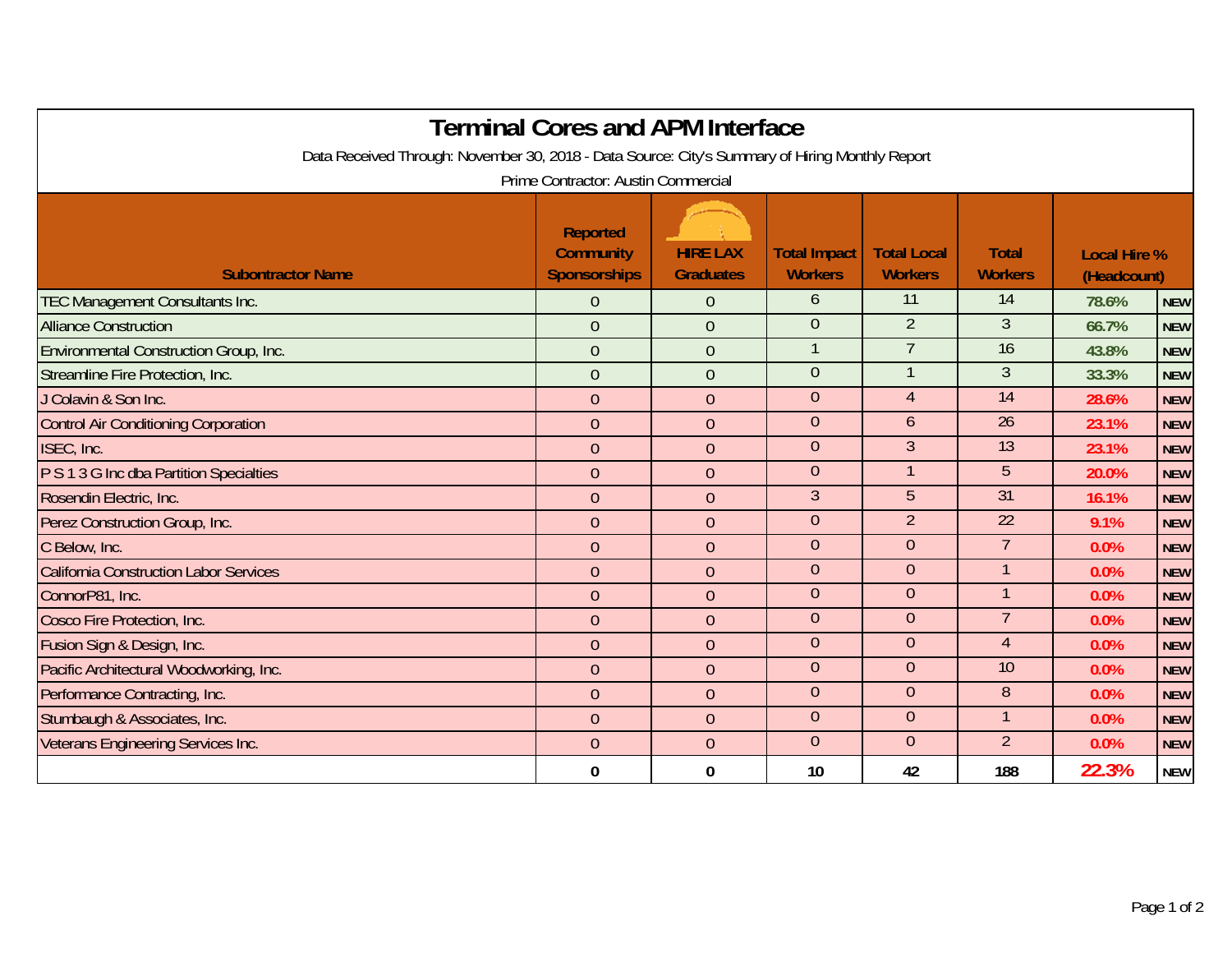|                                                                                                 | <b>Terminal Cores and APM Interface</b>                    |                                     |                                       |                                      |                                |                                    |            |  |  |  |  |  |
|-------------------------------------------------------------------------------------------------|------------------------------------------------------------|-------------------------------------|---------------------------------------|--------------------------------------|--------------------------------|------------------------------------|------------|--|--|--|--|--|
| Data Received Through: November 30, 2018 - Data Source: City's Summary of Hiring Monthly Report |                                                            |                                     |                                       |                                      |                                |                                    |            |  |  |  |  |  |
|                                                                                                 | Prime Contractor: Austin Commercial                        |                                     |                                       |                                      |                                |                                    |            |  |  |  |  |  |
| <b>Subontractor Name</b>                                                                        | <b>Reported</b><br><b>Community</b><br><b>Sponsorships</b> | <b>HIRE LAX</b><br><b>Graduates</b> | <b>Total Impact</b><br><b>Workers</b> | <b>Total Local</b><br><b>Workers</b> | <b>Total</b><br><b>Workers</b> | <b>Local Hire %</b><br>(Headcount) |            |  |  |  |  |  |
| <b>TEC Management Consultants Inc.</b>                                                          | 0                                                          | $\Omega$                            | 6                                     | 11                                   | 14                             | 78.6%                              | <b>NEW</b> |  |  |  |  |  |
| <b>Alliance Construction</b>                                                                    | $\overline{0}$                                             | $\overline{0}$                      | $\theta$                              | $\overline{2}$                       | $\mathfrak{Z}$                 | 66.7%                              | <b>NEW</b> |  |  |  |  |  |
| Environmental Construction Group, Inc.                                                          | $\overline{0}$                                             | $\theta$                            | $\mathbf{1}$                          | $\overline{7}$                       | 16                             | 43.8%                              | <b>NEW</b> |  |  |  |  |  |
| Streamline Fire Protection, Inc.                                                                | $\overline{0}$                                             | $\overline{0}$                      | $\overline{0}$                        |                                      | 3                              | 33.3%                              | <b>NEW</b> |  |  |  |  |  |
| J Colavin & Son Inc.                                                                            | $\overline{0}$                                             | $\mathbf 0$                         | $\theta$                              | $\overline{4}$                       | 14                             | 28.6%                              | <b>NEW</b> |  |  |  |  |  |
| <b>Control Air Conditioning Corporation</b>                                                     | $\overline{0}$                                             | $\overline{0}$                      | $\theta$                              | 6                                    | $\overline{26}$                | 23.1%                              | <b>NEW</b> |  |  |  |  |  |
| ISEC, Inc.                                                                                      | $\overline{0}$                                             | $\overline{0}$                      | $\theta$                              | $\mathfrak{Z}$                       | 13                             | 23.1%                              | <b>NEW</b> |  |  |  |  |  |
| P S 1 3 G Inc dba Partition Specialties                                                         | $\overline{0}$                                             | $\theta$                            | $\theta$                              | 1                                    | 5                              | 20.0%                              | <b>NEW</b> |  |  |  |  |  |
| Rosendin Electric, Inc.                                                                         | $\overline{0}$                                             | $\overline{0}$                      | $\overline{3}$                        | $\overline{5}$                       | $\overline{31}$                | 16.1%                              | <b>NEW</b> |  |  |  |  |  |
| Perez Construction Group, Inc.                                                                  | $\overline{0}$                                             | $\overline{0}$                      | $\theta$                              | $\overline{2}$                       | $\overline{22}$                | 9.1%                               | <b>NEW</b> |  |  |  |  |  |
| C Below, Inc.                                                                                   | $\overline{0}$                                             | $\theta$                            | $\theta$                              | $\theta$                             | $\overline{7}$                 | 0.0%                               | <b>NEW</b> |  |  |  |  |  |
| <b>California Construction Labor Services</b>                                                   | $\overline{0}$                                             | $\mathbf 0$                         | $\overline{0}$                        | $\overline{0}$                       | $\mathbf{1}$                   | 0.0%                               | <b>NEW</b> |  |  |  |  |  |
| ConnorP81, Inc.                                                                                 | $\overline{0}$                                             | $\overline{0}$                      | $\theta$                              | $\overline{0}$                       | $\mathbf{1}$                   | 0.0%                               | <b>NEW</b> |  |  |  |  |  |
| Cosco Fire Protection, Inc.                                                                     | $\overline{0}$                                             | $\overline{0}$                      | $\theta$                              | $\theta$                             | 7                              | 0.0%                               | <b>NEW</b> |  |  |  |  |  |
| Fusion Sign & Design, Inc.                                                                      | $\overline{0}$                                             | $\overline{0}$                      | $\theta$                              | $\theta$                             | $\overline{4}$                 | 0.0%                               | <b>NEW</b> |  |  |  |  |  |
| Pacific Architectural Woodworking, Inc.                                                         | $\overline{0}$                                             | $\mathbf{0}$                        | $\theta$                              | $\overline{0}$                       | 10                             | 0.0%                               | <b>NEW</b> |  |  |  |  |  |
| Performance Contracting, Inc.                                                                   | $\overline{0}$                                             | $\overline{0}$                      | $\theta$                              | $\overline{0}$                       | 8                              | 0.0%                               | <b>NEW</b> |  |  |  |  |  |
| Stumbaugh & Associates, Inc.                                                                    | $\overline{0}$                                             | $\mathbf{0}$                        | $\overline{0}$                        | $\overline{0}$                       | $\mathbf{1}$                   | 0.0%                               | <b>NEW</b> |  |  |  |  |  |
| Veterans Engineering Services Inc.                                                              | $\overline{0}$                                             | $\mathbf{0}$                        | $\theta$                              | $\theta$                             | $\overline{2}$                 | 0.0%                               | <b>NEW</b> |  |  |  |  |  |
|                                                                                                 | 0                                                          | $\bf{0}$                            | 10                                    | 42                                   | 188                            | 22.3%                              | <b>NEW</b> |  |  |  |  |  |